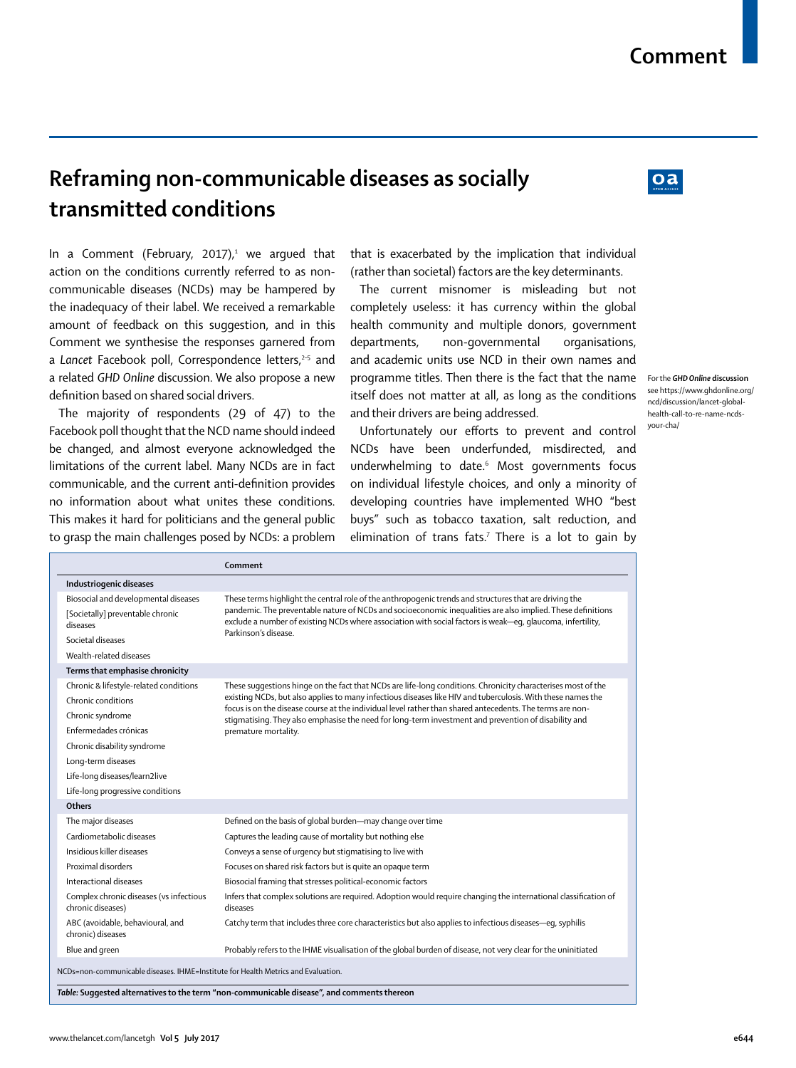## **Comment**

# **Reframing non-communicable diseases as socially transmitted conditions**

In a Comment (February, 2017), $1$  we argued that action on the conditions currently referred to as noncommunicable diseases (NCDs) may be hampered by the inadequacy of their label. We received a remarkable amount of feedback on this suggestion, and in this Comment we synthesise the responses garnered from a Lancet Facebook poll, Correspondence letters,<sup>2-5</sup> and a related *[GHD Online](https://www.ghdonline.org/ncd/discussion/lancet-global-health-call-to-re-name-ncds-your-cha/)* discussion. We also propose a new definition based on shared social drivers.

The majority of respondents (29 of 47) to the Facebook poll thought that the NCD name should indeed be changed, and almost everyone acknowledged the limitations of the current label. Many NCDs are in fact communicable, and the current anti-definition provides no information about what unites these conditions. This makes it hard for politicians and the general public to grasp the main challenges posed by NCDs: a problem that is exacerbated by the implication that individual (rather than societal) factors are the key determinants.

The current misnomer is misleading but not completely useless: it has currency within the global health community and multiple donors, government departments, non-governmental organisations, and academic units use NCD in their own names and programme titles. Then there is the fact that the name itself does not matter at all, as long as the conditions and their drivers are being addressed.

Unfortunately our efforts to prevent and control NCDs have been underfunded, misdirected, and underwhelming to date.<sup>6</sup> Most governments focus on individual lifestyle choices, and only a minority of developing countries have implemented WHO "best buys" such as tobacco taxation, salt reduction, and elimination of trans fats.<sup>7</sup> There is a lot to gain by

For the *GHD Online* **discussion** see https://www.ghdonline.org/ ncd/discussion/lancet-globalhealth-call-to-re-name-ncdsyour-cha/

|                                                                                                                                                                                 | Comment                                                                                                                                                                                                                                                                                                                                                                                                                                                                  |
|---------------------------------------------------------------------------------------------------------------------------------------------------------------------------------|--------------------------------------------------------------------------------------------------------------------------------------------------------------------------------------------------------------------------------------------------------------------------------------------------------------------------------------------------------------------------------------------------------------------------------------------------------------------------|
| Industriogenic diseases                                                                                                                                                         |                                                                                                                                                                                                                                                                                                                                                                                                                                                                          |
| Biosocial and developmental diseases                                                                                                                                            | These terms highlight the central role of the anthropogenic trends and structures that are driving the<br>pandemic. The preventable nature of NCDs and socioeconomic inequalities are also implied. These definitions<br>exclude a number of existing NCDs where association with social factors is weak—eg, glaucoma, infertility,<br>Parkinson's disease.                                                                                                              |
| [Societally] preventable chronic<br>diseases                                                                                                                                    |                                                                                                                                                                                                                                                                                                                                                                                                                                                                          |
| Societal diseases                                                                                                                                                               |                                                                                                                                                                                                                                                                                                                                                                                                                                                                          |
| Wealth-related diseases                                                                                                                                                         |                                                                                                                                                                                                                                                                                                                                                                                                                                                                          |
| Terms that emphasise chronicity                                                                                                                                                 |                                                                                                                                                                                                                                                                                                                                                                                                                                                                          |
| Chronic & lifestyle-related conditions                                                                                                                                          | These suggestions hinge on the fact that NCDs are life-long conditions. Chronicity characterises most of the<br>existing NCDs, but also applies to many infectious diseases like HIV and tuberculosis. With these names the<br>focus is on the disease course at the individual level rather than shared antecedents. The terms are non-<br>stigmatising. They also emphasise the need for long-term investment and prevention of disability and<br>premature mortality. |
| Chronic conditions                                                                                                                                                              |                                                                                                                                                                                                                                                                                                                                                                                                                                                                          |
| Chronic syndrome                                                                                                                                                                |                                                                                                                                                                                                                                                                                                                                                                                                                                                                          |
| Enfermedades crónicas                                                                                                                                                           |                                                                                                                                                                                                                                                                                                                                                                                                                                                                          |
| Chronic disability syndrome                                                                                                                                                     |                                                                                                                                                                                                                                                                                                                                                                                                                                                                          |
| Long-term diseases                                                                                                                                                              |                                                                                                                                                                                                                                                                                                                                                                                                                                                                          |
| Life-long diseases/learn2live                                                                                                                                                   |                                                                                                                                                                                                                                                                                                                                                                                                                                                                          |
| Life-long progressive conditions                                                                                                                                                |                                                                                                                                                                                                                                                                                                                                                                                                                                                                          |
| Others                                                                                                                                                                          |                                                                                                                                                                                                                                                                                                                                                                                                                                                                          |
| The major diseases                                                                                                                                                              | Defined on the basis of global burden-may change over time                                                                                                                                                                                                                                                                                                                                                                                                               |
| Cardiometabolic diseases                                                                                                                                                        | Captures the leading cause of mortality but nothing else                                                                                                                                                                                                                                                                                                                                                                                                                 |
| Insidious killer diseases                                                                                                                                                       | Conveys a sense of urgency but stigmatising to live with                                                                                                                                                                                                                                                                                                                                                                                                                 |
| Proximal disorders                                                                                                                                                              | Focuses on shared risk factors but is quite an opaque term                                                                                                                                                                                                                                                                                                                                                                                                               |
| Interactional diseases                                                                                                                                                          | Biosocial framing that stresses political-economic factors                                                                                                                                                                                                                                                                                                                                                                                                               |
| Complex chronic diseases (vs infectious<br>chronic diseases)                                                                                                                    | Infers that complex solutions are required. Adoption would require changing the international classification of<br>diseases                                                                                                                                                                                                                                                                                                                                              |
| ABC (avoidable, behavioural, and<br>chronic) diseases                                                                                                                           | Catchy term that includes three core characteristics but also applies to infectious diseases—eq, syphilis                                                                                                                                                                                                                                                                                                                                                                |
| Blue and green                                                                                                                                                                  | Probably refers to the IHME visualisation of the global burden of disease, not very clear for the uninitiated                                                                                                                                                                                                                                                                                                                                                            |
| NCDs=non-communicable diseases. IHME=Institute for Health Metrics and Evaluation.<br>Table: Suggested alternatives to the term "non-communicable disease", and comments thereon |                                                                                                                                                                                                                                                                                                                                                                                                                                                                          |
|                                                                                                                                                                                 |                                                                                                                                                                                                                                                                                                                                                                                                                                                                          |

#### www.thelancet.com/lancetgh**Vol 5 July 2017 e644**

## $oa$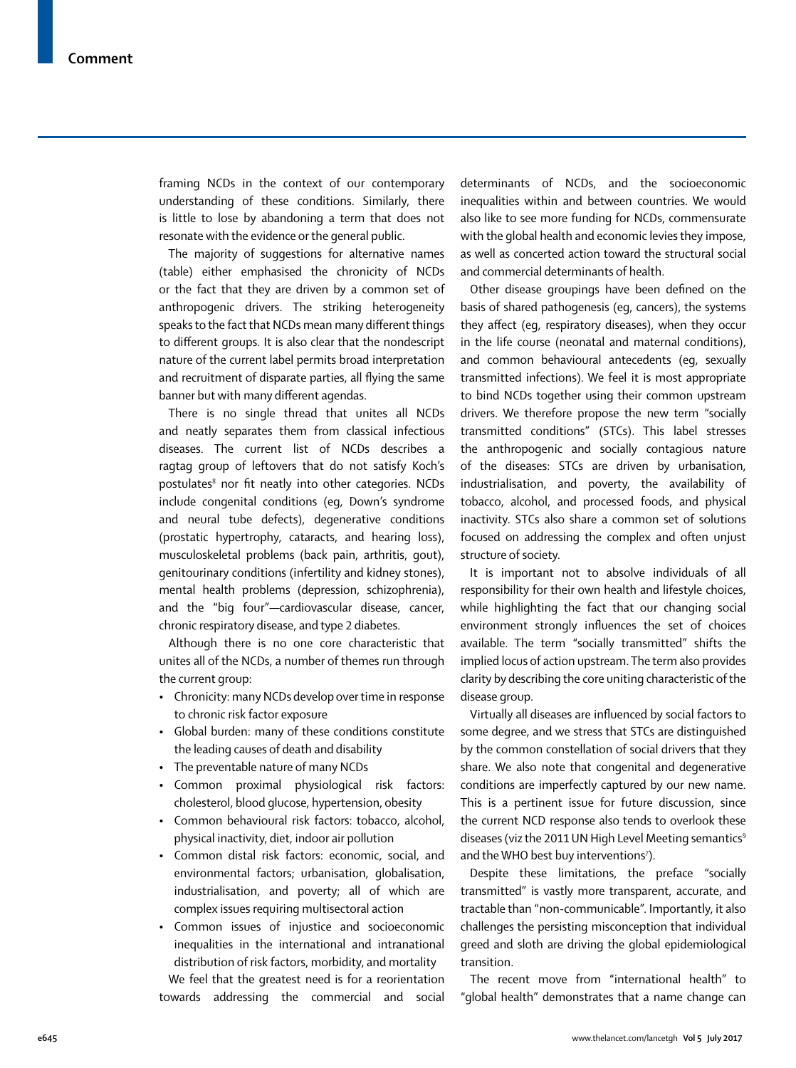framing NCDs in the context of our contemporary understanding of these conditions. Similarly, there is little to lose by abandoning a term that does not resonate with the evidence or the general public.

The majority of suggestions for alternative names (table) either emphasised the chronicity of NCDs or the fact that they are driven by a common set of anthropogenic drivers. The striking heterogeneity speaks to the fact that NCDs mean many different things to different groups. It is also clear that the nondescript nature of the current label permits broad interpretation and recruitment of disparate parties, all flying the same banner but with many different agendas.

There is no single thread that unites all NCDs and neatly separates them from classical infectious diseases. The current list of NCDs describes a ragtag group of leftovers that do not satisfy Koch's postulates<sup>8</sup> nor fit neatly into other categories. NCDs include congenital conditions (eg, Down's syndrome and neural tube defects), degenerative conditions (prostatic hypertrophy, cataracts, and hearing loss), musculoskeletal problems (back pain, arthritis, gout), genitourinary conditions (infertility and kidney stones), mental health problems (depression, schizophrenia), and the "big four"—cardiovascular disease, cancer, chronic respiratory disease, and type 2 diabetes.

Although there is no one core characteristic that unites all of the NCDs, a number of themes run through the current group:

- Chronicity: many NCDs develop over time in response to chronic risk factor exposure
- • Global burden: many of these conditions constitute the leading causes of death and disability
- • The preventable nature of many NCDs
- • Common proximal physiological risk factors: cholesterol, blood glucose, hypertension, obesity
- • Common behavioural risk factors: tobacco, alcohol, physical inactivity, diet, indoor air pollution
- • Common distal risk factors: economic, social, and environmental factors; urbanisation, globalisation, industrialisation, and poverty; all of which are complex issues requiring multisectoral action
- Common issues of injustice and socioeconomic inequalities in the international and intranational distribution of risk factors, morbidity, and mortality

We feel that the greatest need is for a reorientation towards addressing the commercial and social determinants of NCDs, and the socioeconomic inequalities within and between countries. We would also like to see more funding for NCDs, commensurate with the global health and economic levies they impose, as well as concerted action toward the structural social and commercial determinants of health.

Other disease groupings have been defined on the basis of shared pathogenesis (eg, cancers), the systems they affect (eg, respiratory diseases), when they occur in the life course (neonatal and maternal conditions), and common behavioural antecedents (eg, sexually transmitted infections). We feel it is most appropriate to bind NCDs together using their common upstream drivers. We therefore propose the new term "socially transmitted conditions" (STCs). This label stresses the anthropogenic and socially contagious nature of the diseases: STCs are driven by urbanisation, industrialisation, and poverty, the availability of tobacco, alcohol, and processed foods, and physical inactivity. STCs also share a common set of solutions focused on addressing the complex and often unjust structure of society.

It is important not to absolve individuals of all responsibility for their own health and lifestyle choices, while highlighting the fact that our changing social environment strongly influences the set of choices available. The term "socially transmitted" shifts the implied locus of action upstream. The term also provides clarity by describing the core uniting characteristic of the disease group.

Virtually all diseases are influenced by social factors to some degree, and we stress that STCs are distinguished by the common constellation of social drivers that they share. We also note that congenital and degenerative conditions are imperfectly captured by our new name. This is a pertinent issue for future discussion, since the current NCD response also tends to overlook these diseases (viz the 2011 UN High Level Meeting semantics<sup>9</sup> and the WHO best buy interventions<sup>7</sup>).

Despite these limitations, the preface "socially transmitted" is vastly more transparent, accurate, and tractable than "non-communicable". Importantly, it also challenges the persisting misconception that individual greed and sloth are driving the global epidemiological transition.

The recent move from "international health" to "global health" demonstrates that a name change can